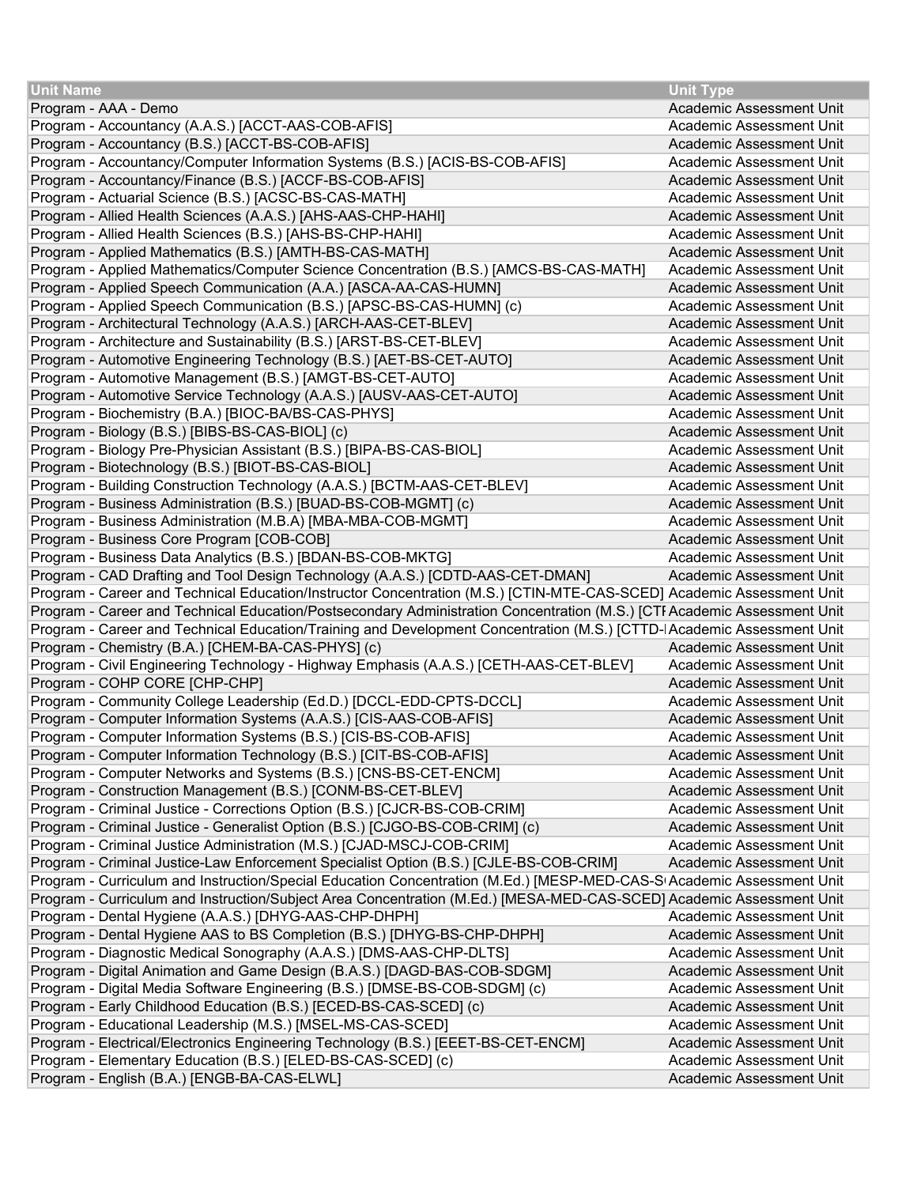| <b>Unit Name</b>                                                                                                         | <b>Unit Type</b>         |
|--------------------------------------------------------------------------------------------------------------------------|--------------------------|
| Program - AAA - Demo                                                                                                     | Academic Assessment Unit |
| Program - Accountancy (A.A.S.) [ACCT-AAS-COB-AFIS]                                                                       | Academic Assessment Unit |
| Program - Accountancy (B.S.) [ACCT-BS-COB-AFIS]                                                                          | Academic Assessment Unit |
| Program - Accountancy/Computer Information Systems (B.S.) [ACIS-BS-COB-AFIS]                                             | Academic Assessment Unit |
| Program - Accountancy/Finance (B.S.) [ACCF-BS-COB-AFIS]                                                                  | Academic Assessment Unit |
| Program - Actuarial Science (B.S.) [ACSC-BS-CAS-MATH]                                                                    | Academic Assessment Unit |
| Program - Allied Health Sciences (A.A.S.) [AHS-AAS-CHP-HAHI]                                                             | Academic Assessment Unit |
| Program - Allied Health Sciences (B.S.) [AHS-BS-CHP-HAHI]                                                                | Academic Assessment Unit |
| Program - Applied Mathematics (B.S.) [AMTH-BS-CAS-MATH]                                                                  | Academic Assessment Unit |
| Program - Applied Mathematics/Computer Science Concentration (B.S.) [AMCS-BS-CAS-MATH]                                   | Academic Assessment Unit |
| Program - Applied Speech Communication (A.A.) [ASCA-AA-CAS-HUMN]                                                         | Academic Assessment Unit |
| Program - Applied Speech Communication (B.S.) [APSC-BS-CAS-HUMN] (c)                                                     | Academic Assessment Unit |
| Program - Architectural Technology (A.A.S.) [ARCH-AAS-CET-BLEV]                                                          | Academic Assessment Unit |
| Program - Architecture and Sustainability (B.S.) [ARST-BS-CET-BLEV]                                                      | Academic Assessment Unit |
| Program - Automotive Engineering Technology (B.S.) [AET-BS-CET-AUTO]                                                     | Academic Assessment Unit |
| Program - Automotive Management (B.S.) [AMGT-BS-CET-AUTO]                                                                | Academic Assessment Unit |
| Program - Automotive Service Technology (A.A.S.) [AUSV-AAS-CET-AUTO]                                                     | Academic Assessment Unit |
| Program - Biochemistry (B.A.) [BIOC-BA/BS-CAS-PHYS]                                                                      | Academic Assessment Unit |
| Program - Biology (B.S.) [BIBS-BS-CAS-BIOL] (c)                                                                          | Academic Assessment Unit |
| Program - Biology Pre-Physician Assistant (B.S.) [BIPA-BS-CAS-BIOL]                                                      | Academic Assessment Unit |
| Program - Biotechnology (B.S.) [BIOT-BS-CAS-BIOL]                                                                        | Academic Assessment Unit |
| Program - Building Construction Technology (A.A.S.) [BCTM-AAS-CET-BLEV]                                                  | Academic Assessment Unit |
| Program - Business Administration (B.S.) [BUAD-BS-COB-MGMT] (c)                                                          | Academic Assessment Unit |
| Program - Business Administration (M.B.A) [MBA-MBA-COB-MGMT]                                                             | Academic Assessment Unit |
| Program - Business Core Program [COB-COB]                                                                                | Academic Assessment Unit |
| Program - Business Data Analytics (B.S.) [BDAN-BS-COB-MKTG]                                                              | Academic Assessment Unit |
| Program - CAD Drafting and Tool Design Technology (A.A.S.) [CDTD-AAS-CET-DMAN]                                           | Academic Assessment Unit |
| Program - Career and Technical Education/Instructor Concentration (M.S.) [CTIN-MTE-CAS-SCED] Academic Assessment Unit    |                          |
| Program - Career and Technical Education/Postsecondary Administration Concentration (M.S.) [CTI Academic Assessment Unit |                          |
| Program - Career and Technical Education/Training and Development Concentration (M.S.) [CTTD- Academic Assessment Unit   |                          |
| Program - Chemistry (B.A.) [CHEM-BA-CAS-PHYS] (c)                                                                        | Academic Assessment Unit |
| Program - Civil Engineering Technology - Highway Emphasis (A.A.S.) [CETH-AAS-CET-BLEV]                                   | Academic Assessment Unit |
| Program - COHP CORE [CHP-CHP]                                                                                            | Academic Assessment Unit |
| Program - Community College Leadership (Ed.D.) [DCCL-EDD-CPTS-DCCL]                                                      | Academic Assessment Unit |
| Program - Computer Information Systems (A.A.S.) [CIS-AAS-COB-AFIS]                                                       | Academic Assessment Unit |
| Program - Computer Information Systems (B.S.) [CIS-BS-COB-AFIS]                                                          | Academic Assessment Unit |
| Program - Computer Information Technology (B.S.) [CIT-BS-COB-AFIS]                                                       | Academic Assessment Unit |
| Program - Computer Networks and Systems (B.S.) [CNS-BS-CET-ENCM]                                                         | Academic Assessment Unit |
| Program - Construction Management (B.S.) [CONM-BS-CET-BLEV]                                                              | Academic Assessment Unit |
| Program - Criminal Justice - Corrections Option (B.S.) [CJCR-BS-COB-CRIM]                                                | Academic Assessment Unit |
| Program - Criminal Justice - Generalist Option (B.S.) [CJGO-BS-COB-CRIM] (c)                                             | Academic Assessment Unit |
| Program - Criminal Justice Administration (M.S.) [CJAD-MSCJ-COB-CRIM]                                                    | Academic Assessment Unit |
| Program - Criminal Justice-Law Enforcement Specialist Option (B.S.) [CJLE-BS-COB-CRIM]                                   | Academic Assessment Unit |
| Program - Curriculum and Instruction/Special Education Concentration (M.Ed.) [MESP-MED-CAS-S Academic Assessment Unit    |                          |
| Program - Curriculum and Instruction/Subject Area Concentration (M.Ed.) [MESA-MED-CAS-SCED] Academic Assessment Unit     |                          |
| Program - Dental Hygiene (A.A.S.) [DHYG-AAS-CHP-DHPH]                                                                    | Academic Assessment Unit |
| Program - Dental Hygiene AAS to BS Completion (B.S.) [DHYG-BS-CHP-DHPH]                                                  | Academic Assessment Unit |
| Program - Diagnostic Medical Sonography (A.A.S.) [DMS-AAS-CHP-DLTS]                                                      | Academic Assessment Unit |
| Program - Digital Animation and Game Design (B.A.S.) [DAGD-BAS-COB-SDGM]                                                 | Academic Assessment Unit |
| Program - Digital Media Software Engineering (B.S.) [DMSE-BS-COB-SDGM] (c)                                               | Academic Assessment Unit |
| Program - Early Childhood Education (B.S.) [ECED-BS-CAS-SCED] (c)                                                        | Academic Assessment Unit |
| Program - Educational Leadership (M.S.) [MSEL-MS-CAS-SCED]                                                               | Academic Assessment Unit |
| Program - Electrical/Electronics Engineering Technology (B.S.) [EEET-BS-CET-ENCM]                                        | Academic Assessment Unit |
| Program - Elementary Education (B.S.) [ELED-BS-CAS-SCED] (c)                                                             | Academic Assessment Unit |
| Program - English (B.A.) [ENGB-BA-CAS-ELWL]                                                                              | Academic Assessment Unit |
|                                                                                                                          |                          |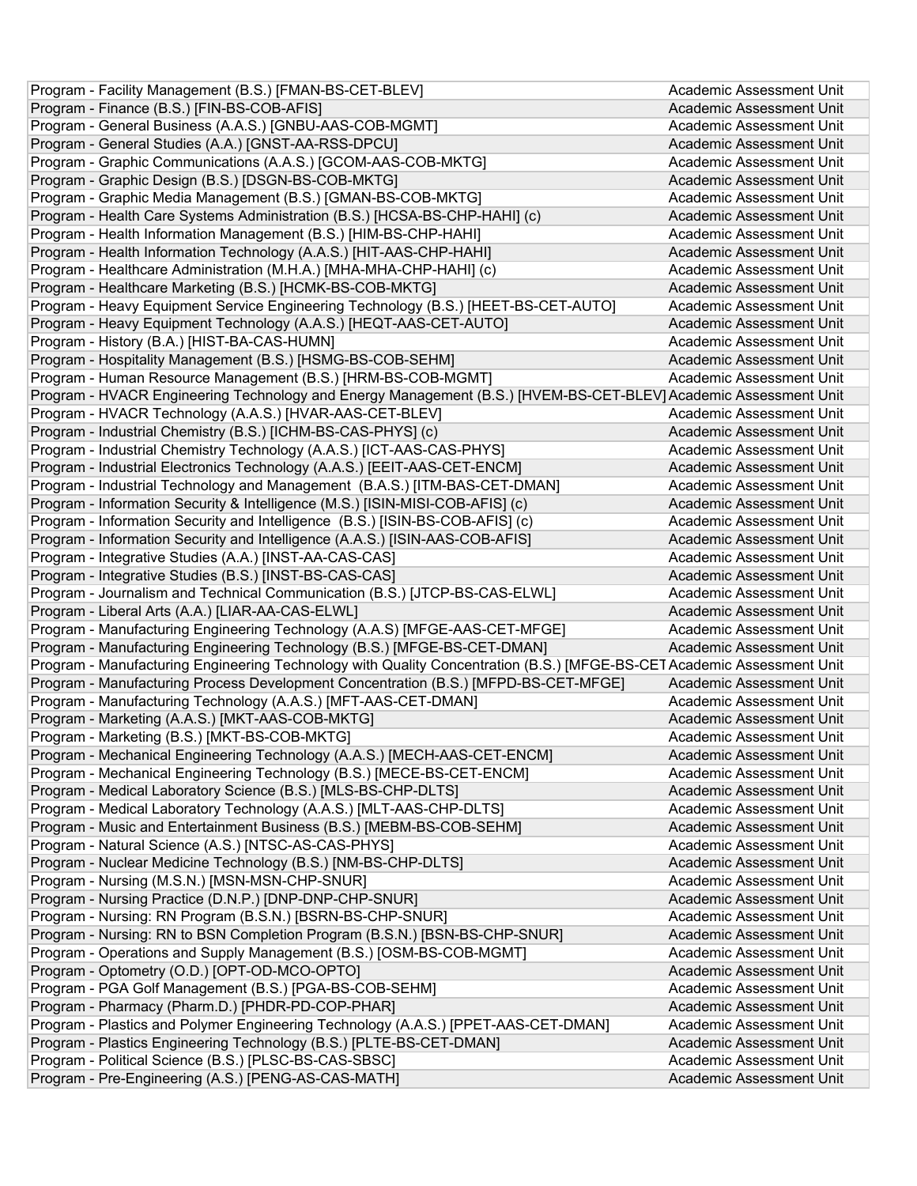| Program - Facility Management (B.S.) [FMAN-BS-CET-BLEV]                                                                | Academic Assessment Unit |
|------------------------------------------------------------------------------------------------------------------------|--------------------------|
| Program - Finance (B.S.) [FIN-BS-COB-AFIS]                                                                             | Academic Assessment Unit |
| Program - General Business (A.A.S.) [GNBU-AAS-COB-MGMT]                                                                | Academic Assessment Unit |
| Program - General Studies (A.A.) [GNST-AA-RSS-DPCU]                                                                    | Academic Assessment Unit |
| Program - Graphic Communications (A.A.S.) [GCOM-AAS-COB-MKTG]                                                          | Academic Assessment Unit |
| Program - Graphic Design (B.S.) [DSGN-BS-COB-MKTG]                                                                     | Academic Assessment Unit |
| Program - Graphic Media Management (B.S.) [GMAN-BS-COB-MKTG]                                                           | Academic Assessment Unit |
| Program - Health Care Systems Administration (B.S.) [HCSA-BS-CHP-HAHI] (c)                                             | Academic Assessment Unit |
| Program - Health Information Management (B.S.) [HIM-BS-CHP-HAHI]                                                       | Academic Assessment Unit |
| Program - Health Information Technology (A.A.S.) [HIT-AAS-CHP-HAHI]                                                    | Academic Assessment Unit |
| Program - Healthcare Administration (M.H.A.) [MHA-MHA-CHP-HAHI] (c)                                                    | Academic Assessment Unit |
| Program - Healthcare Marketing (B.S.) [HCMK-BS-COB-MKTG]                                                               | Academic Assessment Unit |
| Program - Heavy Equipment Service Engineering Technology (B.S.) [HEET-BS-CET-AUTO]                                     | Academic Assessment Unit |
| Program - Heavy Equipment Technology (A.A.S.) [HEQT-AAS-CET-AUTO]                                                      | Academic Assessment Unit |
| Program - History (B.A.) [HIST-BA-CAS-HUMN]                                                                            | Academic Assessment Unit |
| Program - Hospitality Management (B.S.) [HSMG-BS-COB-SEHM]                                                             | Academic Assessment Unit |
| Program - Human Resource Management (B.S.) [HRM-BS-COB-MGMT]                                                           | Academic Assessment Unit |
| Program - HVACR Engineering Technology and Energy Management (B.S.) [HVEM-BS-CET-BLEV] Academic Assessment Unit        |                          |
| Program - HVACR Technology (A.A.S.) [HVAR-AAS-CET-BLEV]                                                                | Academic Assessment Unit |
| Program - Industrial Chemistry (B.S.) [ICHM-BS-CAS-PHYS] (c)                                                           | Academic Assessment Unit |
| Program - Industrial Chemistry Technology (A.A.S.) [ICT-AAS-CAS-PHYS]                                                  | Academic Assessment Unit |
| Program - Industrial Electronics Technology (A.A.S.) [EEIT-AAS-CET-ENCM]                                               | Academic Assessment Unit |
| Program - Industrial Technology and Management (B.A.S.) [ITM-BAS-CET-DMAN]                                             | Academic Assessment Unit |
| Program - Information Security & Intelligence (M.S.) [ISIN-MISI-COB-AFIS] (c)                                          | Academic Assessment Unit |
| Program - Information Security and Intelligence (B.S.) [ISIN-BS-COB-AFIS] (c)                                          | Academic Assessment Unit |
| Program - Information Security and Intelligence (A.A.S.) [ISIN-AAS-COB-AFIS]                                           | Academic Assessment Unit |
| Program - Integrative Studies (A.A.) [INST-AA-CAS-CAS]                                                                 | Academic Assessment Unit |
| Program - Integrative Studies (B.S.) [INST-BS-CAS-CAS]                                                                 | Academic Assessment Unit |
| Program - Journalism and Technical Communication (B.S.) [JTCP-BS-CAS-ELWL]                                             | Academic Assessment Unit |
| Program - Liberal Arts (A.A.) [LIAR-AA-CAS-ELWL]                                                                       | Academic Assessment Unit |
| Program - Manufacturing Engineering Technology (A.A.S) [MFGE-AAS-CET-MFGE]                                             | Academic Assessment Unit |
| Program - Manufacturing Engineering Technology (B.S.) [MFGE-BS-CET-DMAN]                                               | Academic Assessment Unit |
| Program - Manufacturing Engineering Technology with Quality Concentration (B.S.) [MFGE-BS-CET Academic Assessment Unit |                          |
| Program - Manufacturing Process Development Concentration (B.S.) [MFPD-BS-CET-MFGE]                                    | Academic Assessment Unit |
| Program - Manufacturing Technology (A.A.S.) [MFT-AAS-CET-DMAN]                                                         | Academic Assessment Unit |
| Program - Marketing (A.A.S.) [MKT-AAS-COB-MKTG]                                                                        | Academic Assessment Unit |
| Program - Marketing (B.S.) [MKT-BS-COB-MKTG]                                                                           | Academic Assessment Unit |
| Program - Mechanical Engineering Technology (A.A.S.) [MECH-AAS-CET-ENCM]                                               | Academic Assessment Unit |
| Program - Mechanical Engineering Technology (B.S.) [MECE-BS-CET-ENCM]                                                  | Academic Assessment Unit |
| Program - Medical Laboratory Science (B.S.) [MLS-BS-CHP-DLTS]                                                          | Academic Assessment Unit |
| Program - Medical Laboratory Technology (A.A.S.) [MLT-AAS-CHP-DLTS]                                                    | Academic Assessment Unit |
| Program - Music and Entertainment Business (B.S.) [MEBM-BS-COB-SEHM]                                                   | Academic Assessment Unit |
| Program - Natural Science (A.S.) [NTSC-AS-CAS-PHYS]                                                                    | Academic Assessment Unit |
| Program - Nuclear Medicine Technology (B.S.) [NM-BS-CHP-DLTS]                                                          | Academic Assessment Unit |
| Program - Nursing (M.S.N.) [MSN-MSN-CHP-SNUR]                                                                          | Academic Assessment Unit |
| Program - Nursing Practice (D.N.P.) [DNP-DNP-CHP-SNUR]                                                                 | Academic Assessment Unit |
| Program - Nursing: RN Program (B.S.N.) [BSRN-BS-CHP-SNUR]                                                              | Academic Assessment Unit |
| Program - Nursing: RN to BSN Completion Program (B.S.N.) [BSN-BS-CHP-SNUR]                                             | Academic Assessment Unit |
| Program - Operations and Supply Management (B.S.) [OSM-BS-COB-MGMT]                                                    | Academic Assessment Unit |
| Program - Optometry (O.D.) [OPT-OD-MCO-OPTO]                                                                           | Academic Assessment Unit |
| Program - PGA Golf Management (B.S.) [PGA-BS-COB-SEHM]                                                                 | Academic Assessment Unit |
| Program - Pharmacy (Pharm.D.) [PHDR-PD-COP-PHAR]                                                                       | Academic Assessment Unit |
| Program - Plastics and Polymer Engineering Technology (A.A.S.) [PPET-AAS-CET-DMAN]                                     | Academic Assessment Unit |
| Program - Plastics Engineering Technology (B.S.) [PLTE-BS-CET-DMAN]                                                    | Academic Assessment Unit |
| Program - Political Science (B.S.) [PLSC-BS-CAS-SBSC]                                                                  | Academic Assessment Unit |
| Program - Pre-Engineering (A.S.) [PENG-AS-CAS-MATH]                                                                    | Academic Assessment Unit |
|                                                                                                                        |                          |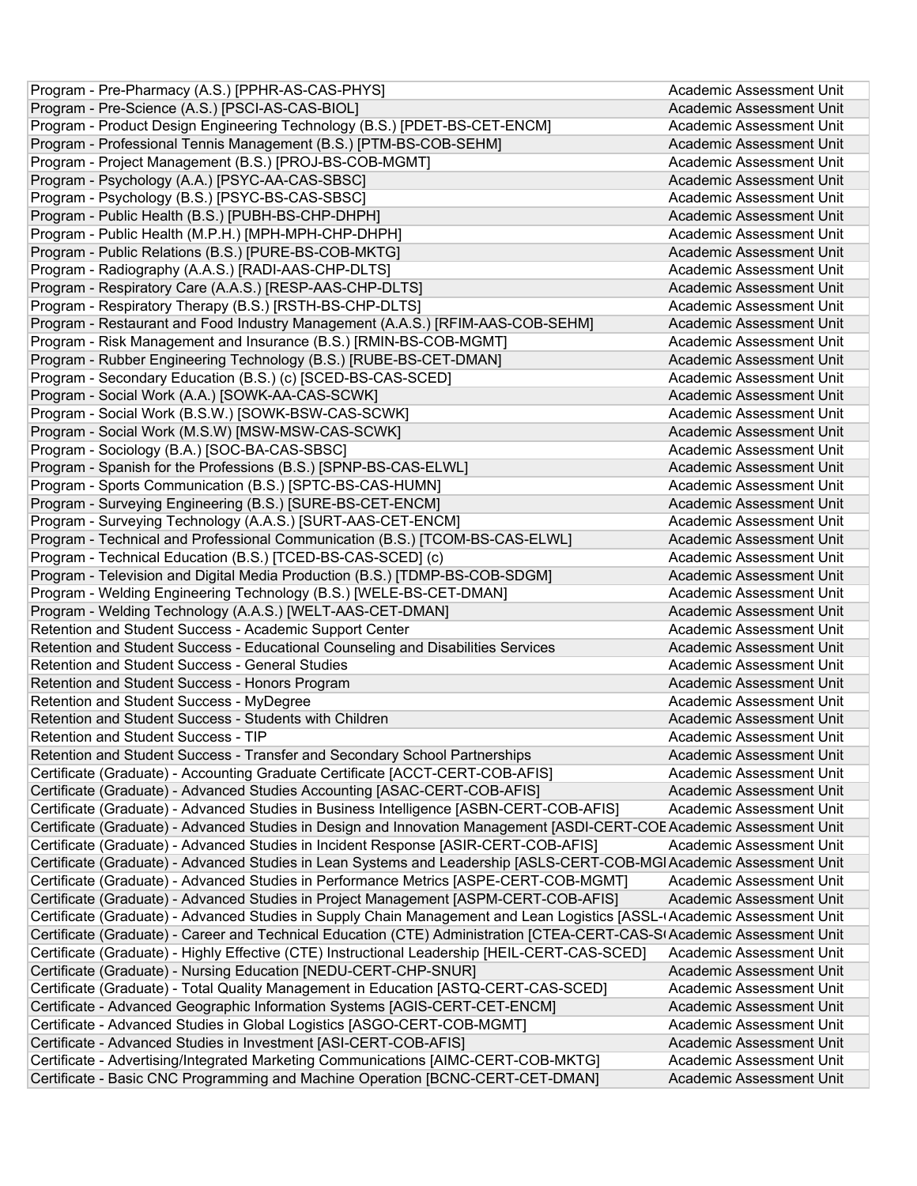| Program - Pre-Pharmacy (A.S.) [PPHR-AS-CAS-PHYS]                                                                         | Academic Assessment Unit |
|--------------------------------------------------------------------------------------------------------------------------|--------------------------|
| Program - Pre-Science (A.S.) [PSCI-AS-CAS-BIOL]                                                                          | Academic Assessment Unit |
| Program - Product Design Engineering Technology (B.S.) [PDET-BS-CET-ENCM]                                                | Academic Assessment Unit |
| Program - Professional Tennis Management (B.S.) [PTM-BS-COB-SEHM]                                                        | Academic Assessment Unit |
| Program - Project Management (B.S.) [PROJ-BS-COB-MGMT]                                                                   | Academic Assessment Unit |
| Program - Psychology (A.A.) [PSYC-AA-CAS-SBSC]                                                                           | Academic Assessment Unit |
| Program - Psychology (B.S.) [PSYC-BS-CAS-SBSC]                                                                           | Academic Assessment Unit |
| Program - Public Health (B.S.) [PUBH-BS-CHP-DHPH]                                                                        | Academic Assessment Unit |
| Program - Public Health (M.P.H.) [MPH-MPH-CHP-DHPH]                                                                      | Academic Assessment Unit |
| Program - Public Relations (B.S.) [PURE-BS-COB-MKTG]                                                                     | Academic Assessment Unit |
| Program - Radiography (A.A.S.) [RADI-AAS-CHP-DLTS]                                                                       | Academic Assessment Unit |
| Program - Respiratory Care (A.A.S.) [RESP-AAS-CHP-DLTS]                                                                  | Academic Assessment Unit |
| Program - Respiratory Therapy (B.S.) [RSTH-BS-CHP-DLTS]                                                                  | Academic Assessment Unit |
| Program - Restaurant and Food Industry Management (A.A.S.) [RFIM-AAS-COB-SEHM]                                           | Academic Assessment Unit |
| Program - Risk Management and Insurance (B.S.) [RMIN-BS-COB-MGMT]                                                        | Academic Assessment Unit |
| Program - Rubber Engineering Technology (B.S.) [RUBE-BS-CET-DMAN]                                                        | Academic Assessment Unit |
| Program - Secondary Education (B.S.) (c) [SCED-BS-CAS-SCED]                                                              | Academic Assessment Unit |
| Program - Social Work (A.A.) [SOWK-AA-CAS-SCWK]                                                                          | Academic Assessment Unit |
| Program - Social Work (B.S.W.) [SOWK-BSW-CAS-SCWK]                                                                       | Academic Assessment Unit |
| Program - Social Work (M.S.W) [MSW-MSW-CAS-SCWK]                                                                         | Academic Assessment Unit |
| Program - Sociology (B.A.) [SOC-BA-CAS-SBSC]                                                                             | Academic Assessment Unit |
| Program - Spanish for the Professions (B.S.) [SPNP-BS-CAS-ELWL]                                                          | Academic Assessment Unit |
| Program - Sports Communication (B.S.) [SPTC-BS-CAS-HUMN]                                                                 | Academic Assessment Unit |
| Program - Surveying Engineering (B.S.) [SURE-BS-CET-ENCM]                                                                | Academic Assessment Unit |
| Program - Surveying Technology (A.A.S.) [SURT-AAS-CET-ENCM]                                                              | Academic Assessment Unit |
| Program - Technical and Professional Communication (B.S.) [TCOM-BS-CAS-ELWL]                                             | Academic Assessment Unit |
| Program - Technical Education (B.S.) [TCED-BS-CAS-SCED] (c)                                                              | Academic Assessment Unit |
| Program - Television and Digital Media Production (B.S.) [TDMP-BS-COB-SDGM]                                              | Academic Assessment Unit |
| Program - Welding Engineering Technology (B.S.) [WELE-BS-CET-DMAN]                                                       | Academic Assessment Unit |
| Program - Welding Technology (A.A.S.) [WELT-AAS-CET-DMAN]                                                                | Academic Assessment Unit |
| Retention and Student Success - Academic Support Center                                                                  | Academic Assessment Unit |
| Retention and Student Success - Educational Counseling and Disabilities Services                                         | Academic Assessment Unit |
| Retention and Student Success - General Studies                                                                          | Academic Assessment Unit |
| Retention and Student Success - Honors Program                                                                           | Academic Assessment Unit |
| Retention and Student Success - MyDegree                                                                                 | Academic Assessment Unit |
| Retention and Student Success - Students with Children                                                                   | Academic Assessment Unit |
| Retention and Student Success - TIP                                                                                      | Academic Assessment Unit |
| Retention and Student Success - Transfer and Secondary School Partnerships                                               | Academic Assessment Unit |
| Certificate (Graduate) - Accounting Graduate Certificate [ACCT-CERT-COB-AFIS]                                            | Academic Assessment Unit |
| Certificate (Graduate) - Advanced Studies Accounting [ASAC-CERT-COB-AFIS]                                                | Academic Assessment Unit |
| Certificate (Graduate) - Advanced Studies in Business Intelligence [ASBN-CERT-COB-AFIS]                                  | Academic Assessment Unit |
| Certificate (Graduate) - Advanced Studies in Design and Innovation Management [ASDI-CERT-COE Academic Assessment Unit    |                          |
| Certificate (Graduate) - Advanced Studies in Incident Response [ASIR-CERT-COB-AFIS]                                      | Academic Assessment Unit |
| Certificate (Graduate) - Advanced Studies in Lean Systems and Leadership [ASLS-CERT-COB-MGI Academic Assessment Unit     |                          |
| Certificate (Graduate) - Advanced Studies in Performance Metrics [ASPE-CERT-COB-MGMT]                                    | Academic Assessment Unit |
| Certificate (Graduate) - Advanced Studies in Project Management [ASPM-CERT-COB-AFIS]                                     | Academic Assessment Unit |
| Certificate (Graduate) - Advanced Studies in Supply Chain Management and Lean Logistics [ASSL-I Academic Assessment Unit |                          |
| Certificate (Graduate) - Career and Technical Education (CTE) Administration [CTEA-CERT-CAS-SI Academic Assessment Unit  |                          |
| Certificate (Graduate) - Highly Effective (CTE) Instructional Leadership [HEIL-CERT-CAS-SCED]                            | Academic Assessment Unit |
| Certificate (Graduate) - Nursing Education [NEDU-CERT-CHP-SNUR]                                                          | Academic Assessment Unit |
| Certificate (Graduate) - Total Quality Management in Education [ASTQ-CERT-CAS-SCED]                                      | Academic Assessment Unit |
| Certificate - Advanced Geographic Information Systems [AGIS-CERT-CET-ENCM]                                               | Academic Assessment Unit |
| Certificate - Advanced Studies in Global Logistics [ASGO-CERT-COB-MGMT]                                                  | Academic Assessment Unit |
| Certificate - Advanced Studies in Investment [ASI-CERT-COB-AFIS]                                                         | Academic Assessment Unit |
| Certificate - Advertising/Integrated Marketing Communications [AIMC-CERT-COB-MKTG]                                       | Academic Assessment Unit |
|                                                                                                                          | Academic Assessment Unit |
| Certificate - Basic CNC Programming and Machine Operation [BCNC-CERT-CET-DMAN]                                           |                          |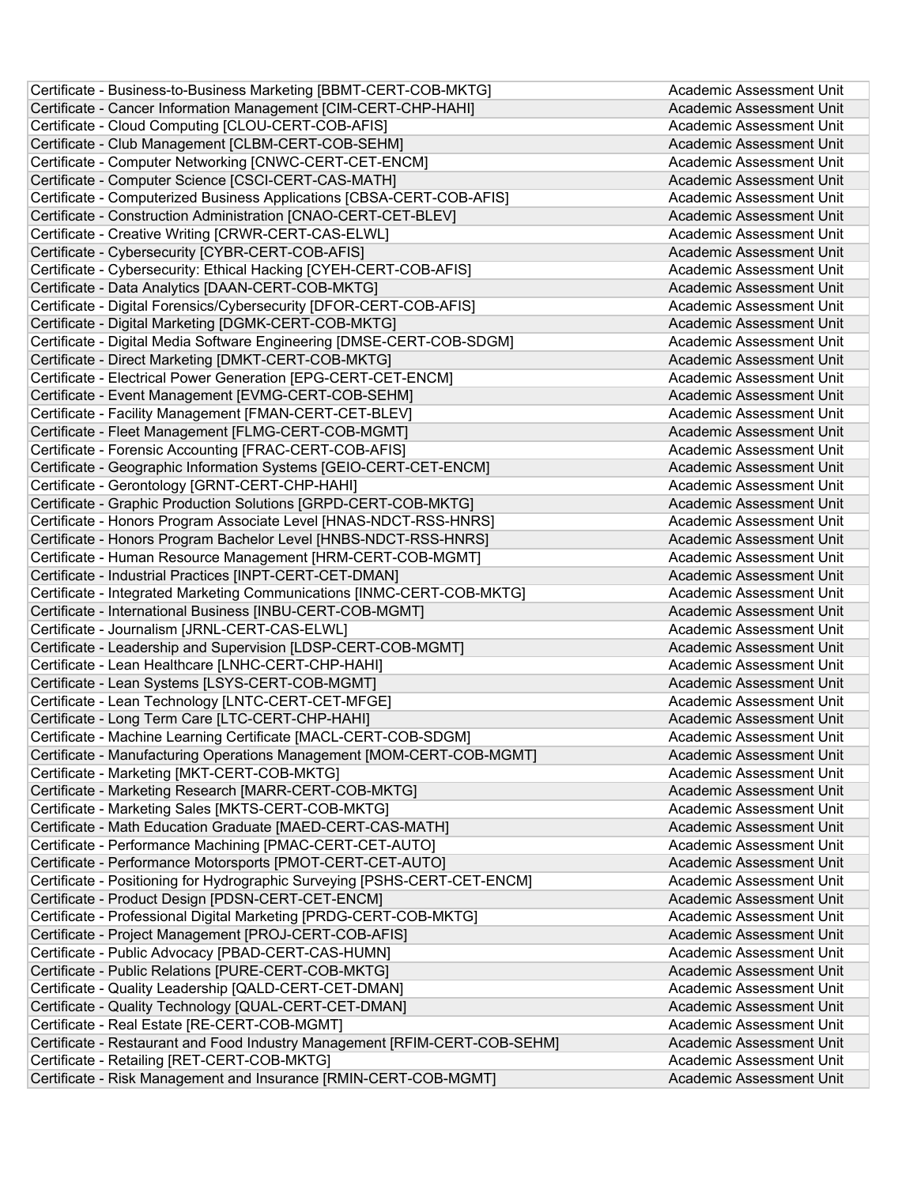| Certificate - Business-to-Business Marketing [BBMT-CERT-COB-MKTG]          | Academic Assessment Unit |
|----------------------------------------------------------------------------|--------------------------|
| Certificate - Cancer Information Management [CIM-CERT-CHP-HAHI]            | Academic Assessment Unit |
| Certificate - Cloud Computing [CLOU-CERT-COB-AFIS]                         | Academic Assessment Unit |
| Certificate - Club Management [CLBM-CERT-COB-SEHM]                         | Academic Assessment Unit |
| Certificate - Computer Networking [CNWC-CERT-CET-ENCM]                     | Academic Assessment Unit |
| Certificate - Computer Science [CSCI-CERT-CAS-MATH]                        | Academic Assessment Unit |
| Certificate - Computerized Business Applications [CBSA-CERT-COB-AFIS]      | Academic Assessment Unit |
| Certificate - Construction Administration [CNAO-CERT-CET-BLEV]             | Academic Assessment Unit |
| Certificate - Creative Writing [CRWR-CERT-CAS-ELWL]                        | Academic Assessment Unit |
| Certificate - Cybersecurity [CYBR-CERT-COB-AFIS]                           | Academic Assessment Unit |
| Certificate - Cybersecurity: Ethical Hacking [CYEH-CERT-COB-AFIS]          | Academic Assessment Unit |
| Certificate - Data Analytics [DAAN-CERT-COB-MKTG]                          | Academic Assessment Unit |
| Certificate - Digital Forensics/Cybersecurity [DFOR-CERT-COB-AFIS]         | Academic Assessment Unit |
| Certificate - Digital Marketing [DGMK-CERT-COB-MKTG]                       | Academic Assessment Unit |
| Certificate - Digital Media Software Engineering [DMSE-CERT-COB-SDGM]      | Academic Assessment Unit |
| Certificate - Direct Marketing [DMKT-CERT-COB-MKTG]                        | Academic Assessment Unit |
| Certificate - Electrical Power Generation [EPG-CERT-CET-ENCM]              | Academic Assessment Unit |
| Certificate - Event Management [EVMG-CERT-COB-SEHM]                        | Academic Assessment Unit |
| Certificate - Facility Management [FMAN-CERT-CET-BLEV]                     | Academic Assessment Unit |
| Certificate - Fleet Management [FLMG-CERT-COB-MGMT]                        | Academic Assessment Unit |
| Certificate - Forensic Accounting [FRAC-CERT-COB-AFIS]                     | Academic Assessment Unit |
| Certificate - Geographic Information Systems [GEIO-CERT-CET-ENCM]          | Academic Assessment Unit |
| Certificate - Gerontology [GRNT-CERT-CHP-HAHI]                             | Academic Assessment Unit |
| Certificate - Graphic Production Solutions [GRPD-CERT-COB-MKTG]            | Academic Assessment Unit |
| Certificate - Honors Program Associate Level [HNAS-NDCT-RSS-HNRS]          | Academic Assessment Unit |
| Certificate - Honors Program Bachelor Level [HNBS-NDCT-RSS-HNRS]           | Academic Assessment Unit |
| Certificate - Human Resource Management [HRM-CERT-COB-MGMT]                | Academic Assessment Unit |
| Certificate - Industrial Practices [INPT-CERT-CET-DMAN]                    | Academic Assessment Unit |
| Certificate - Integrated Marketing Communications [INMC-CERT-COB-MKTG]     | Academic Assessment Unit |
| Certificate - International Business [INBU-CERT-COB-MGMT]                  | Academic Assessment Unit |
| Certificate - Journalism [JRNL-CERT-CAS-ELWL]                              | Academic Assessment Unit |
| Certificate - Leadership and Supervision [LDSP-CERT-COB-MGMT]              | Academic Assessment Unit |
| Certificate - Lean Healthcare [LNHC-CERT-CHP-HAHI]                         | Academic Assessment Unit |
| Certificate - Lean Systems [LSYS-CERT-COB-MGMT]                            | Academic Assessment Unit |
| Certificate - Lean Technology [LNTC-CERT-CET-MFGE]                         | Academic Assessment Unit |
| Certificate - Long Term Care [LTC-CERT-CHP-HAHI]                           | Academic Assessment Unit |
| Certificate - Machine Learning Certificate [MACL-CERT-COB-SDGM]            | Academic Assessment Unit |
| Certificate - Manufacturing Operations Management [MOM-CERT-COB-MGMT]      | Academic Assessment Unit |
| Certificate - Marketing [MKT-CERT-COB-MKTG]                                | Academic Assessment Unit |
| Certificate - Marketing Research [MARR-CERT-COB-MKTG]                      | Academic Assessment Unit |
| Certificate - Marketing Sales [MKTS-CERT-COB-MKTG]                         | Academic Assessment Unit |
| Certificate - Math Education Graduate [MAED-CERT-CAS-MATH]                 | Academic Assessment Unit |
| Certificate - Performance Machining [PMAC-CERT-CET-AUTO]                   | Academic Assessment Unit |
| Certificate - Performance Motorsports [PMOT-CERT-CET-AUTO]                 | Academic Assessment Unit |
| Certificate - Positioning for Hydrographic Surveying [PSHS-CERT-CET-ENCM]  | Academic Assessment Unit |
| Certificate - Product Design [PDSN-CERT-CET-ENCM]                          | Academic Assessment Unit |
| Certificate - Professional Digital Marketing [PRDG-CERT-COB-MKTG]          | Academic Assessment Unit |
| Certificate - Project Management [PROJ-CERT-COB-AFIS]                      | Academic Assessment Unit |
| Certificate - Public Advocacy [PBAD-CERT-CAS-HUMN]                         | Academic Assessment Unit |
| Certificate - Public Relations [PURE-CERT-COB-MKTG]                        | Academic Assessment Unit |
| Certificate - Quality Leadership [QALD-CERT-CET-DMAN]                      | Academic Assessment Unit |
| Certificate - Quality Technology [QUAL-CERT-CET-DMAN]                      | Academic Assessment Unit |
| Certificate - Real Estate [RE-CERT-COB-MGMT]                               | Academic Assessment Unit |
| Certificate - Restaurant and Food Industry Management [RFIM-CERT-COB-SEHM] | Academic Assessment Unit |
| Certificate - Retailing [RET-CERT-COB-MKTG]                                | Academic Assessment Unit |
| Certificate - Risk Management and Insurance [RMIN-CERT-COB-MGMT]           | Academic Assessment Unit |
|                                                                            |                          |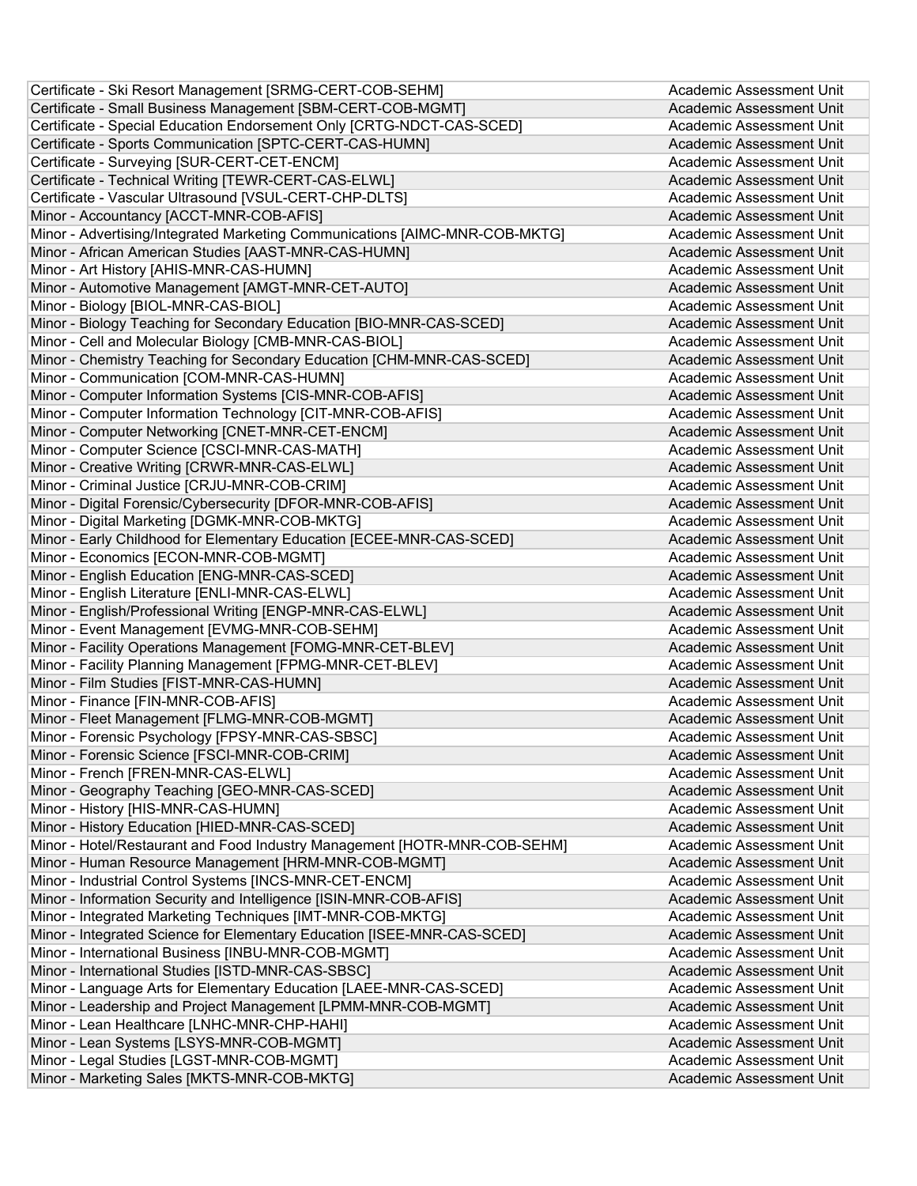| Certificate - Ski Resort Management [SRMG-CERT-COB-SEHM]                                                              | Academic Assessment Unit        |
|-----------------------------------------------------------------------------------------------------------------------|---------------------------------|
| Certificate - Small Business Management [SBM-CERT-COB-MGMT]                                                           | Academic Assessment Unit        |
| Certificate - Special Education Endorsement Only [CRTG-NDCT-CAS-SCED]                                                 | Academic Assessment Unit        |
| Certificate - Sports Communication [SPTC-CERT-CAS-HUMN]                                                               | Academic Assessment Unit        |
| Certificate - Surveying [SUR-CERT-CET-ENCM]                                                                           | Academic Assessment Unit        |
| Certificate - Technical Writing [TEWR-CERT-CAS-ELWL]                                                                  | Academic Assessment Unit        |
| Certificate - Vascular Ultrasound [VSUL-CERT-CHP-DLTS]                                                                | Academic Assessment Unit        |
| Minor - Accountancy [ACCT-MNR-COB-AFIS]                                                                               | Academic Assessment Unit        |
| Minor - Advertising/Integrated Marketing Communications [AIMC-MNR-COB-MKTG]                                           | Academic Assessment Unit        |
| Minor - African American Studies [AAST-MNR-CAS-HUMN]                                                                  | Academic Assessment Unit        |
| Minor - Art History [AHIS-MNR-CAS-HUMN]                                                                               | Academic Assessment Unit        |
| Minor - Automotive Management [AMGT-MNR-CET-AUTO]                                                                     | Academic Assessment Unit        |
| Minor - Biology [BIOL-MNR-CAS-BIOL]                                                                                   | Academic Assessment Unit        |
| Minor - Biology Teaching for Secondary Education [BIO-MNR-CAS-SCED]                                                   | Academic Assessment Unit        |
| Minor - Cell and Molecular Biology [CMB-MNR-CAS-BIOL]                                                                 | Academic Assessment Unit        |
| Minor - Chemistry Teaching for Secondary Education [CHM-MNR-CAS-SCED]                                                 | Academic Assessment Unit        |
| Minor - Communication [COM-MNR-CAS-HUMN]                                                                              | Academic Assessment Unit        |
| Minor - Computer Information Systems [CIS-MNR-COB-AFIS]                                                               | Academic Assessment Unit        |
| Minor - Computer Information Technology [CIT-MNR-COB-AFIS]                                                            | Academic Assessment Unit        |
| Minor - Computer Networking [CNET-MNR-CET-ENCM]                                                                       | Academic Assessment Unit        |
| Minor - Computer Science [CSCI-MNR-CAS-MATH]                                                                          | Academic Assessment Unit        |
| Minor - Creative Writing [CRWR-MNR-CAS-ELWL]                                                                          | Academic Assessment Unit        |
| Minor - Criminal Justice [CRJU-MNR-COB-CRIM]                                                                          | Academic Assessment Unit        |
|                                                                                                                       | Academic Assessment Unit        |
| Minor - Digital Forensic/Cybersecurity [DFOR-MNR-COB-AFIS]                                                            |                                 |
| Minor - Digital Marketing [DGMK-MNR-COB-MKTG]<br>Minor - Early Childhood for Elementary Education [ECEE-MNR-CAS-SCED] | Academic Assessment Unit        |
|                                                                                                                       | Academic Assessment Unit        |
| Minor - Economics [ECON-MNR-COB-MGMT]                                                                                 | Academic Assessment Unit        |
| Minor - English Education [ENG-MNR-CAS-SCED]                                                                          | Academic Assessment Unit        |
| Minor - English Literature [ENLI-MNR-CAS-ELWL]                                                                        | Academic Assessment Unit        |
| Minor - English/Professional Writing [ENGP-MNR-CAS-ELWL]                                                              | Academic Assessment Unit        |
| Minor - Event Management [EVMG-MNR-COB-SEHM]                                                                          | Academic Assessment Unit        |
| Minor - Facility Operations Management [FOMG-MNR-CET-BLEV]                                                            | Academic Assessment Unit        |
| Minor - Facility Planning Management [FPMG-MNR-CET-BLEV]                                                              | Academic Assessment Unit        |
| Minor - Film Studies [FIST-MNR-CAS-HUMN]                                                                              | Academic Assessment Unit        |
| Minor - Finance [FIN-MNR-COB-AFIS]                                                                                    | Academic Assessment Unit        |
| Minor - Fleet Management [FLMG-MNR-COB-MGMT]                                                                          | Academic Assessment Unit        |
| Minor - Forensic Psychology [FPSY-MNR-CAS-SBSC]                                                                       | Academic Assessment Unit        |
| Minor - Forensic Science [FSCI-MNR-COB-CRIM]                                                                          | <b>Academic Assessment Unit</b> |
| Minor - French [FREN-MNR-CAS-ELWL]                                                                                    | Academic Assessment Unit        |
| Minor - Geography Teaching [GEO-MNR-CAS-SCED]                                                                         | Academic Assessment Unit        |
| Minor - History [HIS-MNR-CAS-HUMN]                                                                                    | Academic Assessment Unit        |
| Minor - History Education [HIED-MNR-CAS-SCED]                                                                         | Academic Assessment Unit        |
| Minor - Hotel/Restaurant and Food Industry Management [HOTR-MNR-COB-SEHM]                                             | Academic Assessment Unit        |
| Minor - Human Resource Management [HRM-MNR-COB-MGMT]                                                                  | Academic Assessment Unit        |
| Minor - Industrial Control Systems [INCS-MNR-CET-ENCM]                                                                | Academic Assessment Unit        |
| Minor - Information Security and Intelligence [ISIN-MNR-COB-AFIS]                                                     | Academic Assessment Unit        |
| Minor - Integrated Marketing Techniques [IMT-MNR-COB-MKTG]                                                            | Academic Assessment Unit        |
| Minor - Integrated Science for Elementary Education [ISEE-MNR-CAS-SCED]                                               | Academic Assessment Unit        |
| Minor - International Business [INBU-MNR-COB-MGMT]                                                                    | Academic Assessment Unit        |
| Minor - International Studies [ISTD-MNR-CAS-SBSC]                                                                     | Academic Assessment Unit        |
| Minor - Language Arts for Elementary Education [LAEE-MNR-CAS-SCED]                                                    | Academic Assessment Unit        |
| Minor - Leadership and Project Management [LPMM-MNR-COB-MGMT]                                                         | Academic Assessment Unit        |
| Minor - Lean Healthcare [LNHC-MNR-CHP-HAHI]                                                                           | Academic Assessment Unit        |
| Minor - Lean Systems [LSYS-MNR-COB-MGMT]                                                                              | Academic Assessment Unit        |
| Minor - Legal Studies [LGST-MNR-COB-MGMT]                                                                             | Academic Assessment Unit        |
| Minor - Marketing Sales [MKTS-MNR-COB-MKTG]                                                                           | Academic Assessment Unit        |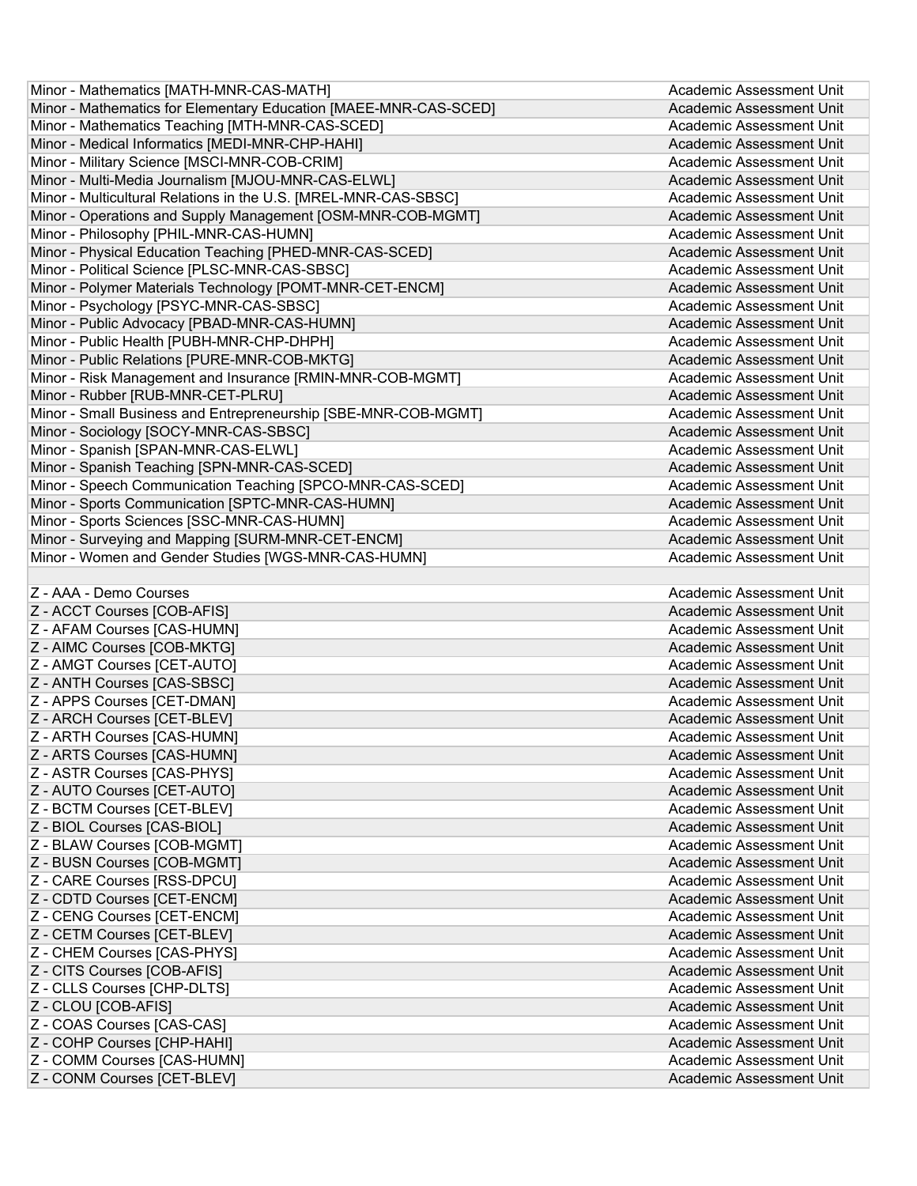| Minor - Mathematics [MATH-MNR-CAS-MATH]                          | Academic Assessment Unit                             |
|------------------------------------------------------------------|------------------------------------------------------|
| Minor - Mathematics for Elementary Education [MAEE-MNR-CAS-SCED] | Academic Assessment Unit                             |
| Minor - Mathematics Teaching [MTH-MNR-CAS-SCED]                  | Academic Assessment Unit                             |
| Minor - Medical Informatics [MEDI-MNR-CHP-HAHI]                  | Academic Assessment Unit                             |
| Minor - Military Science [MSCI-MNR-COB-CRIM]                     | Academic Assessment Unit                             |
| Minor - Multi-Media Journalism [MJOU-MNR-CAS-ELWL]               | Academic Assessment Unit                             |
| Minor - Multicultural Relations in the U.S. [MREL-MNR-CAS-SBSC]  | Academic Assessment Unit                             |
| Minor - Operations and Supply Management [OSM-MNR-COB-MGMT]      | Academic Assessment Unit                             |
| Minor - Philosophy [PHIL-MNR-CAS-HUMN]                           | Academic Assessment Unit                             |
| Minor - Physical Education Teaching [PHED-MNR-CAS-SCED]          | Academic Assessment Unit                             |
| Minor - Political Science [PLSC-MNR-CAS-SBSC]                    | Academic Assessment Unit                             |
| Minor - Polymer Materials Technology [POMT-MNR-CET-ENCM]         | Academic Assessment Unit                             |
| Minor - Psychology [PSYC-MNR-CAS-SBSC]                           | Academic Assessment Unit                             |
| Minor - Public Advocacy [PBAD-MNR-CAS-HUMN]                      | <b>Academic Assessment Unit</b>                      |
| Minor - Public Health [PUBH-MNR-CHP-DHPH]                        | Academic Assessment Unit                             |
| Minor - Public Relations [PURE-MNR-COB-MKTG]                     | Academic Assessment Unit                             |
| Minor - Risk Management and Insurance [RMIN-MNR-COB-MGMT]        | Academic Assessment Unit                             |
| Minor - Rubber [RUB-MNR-CET-PLRU]                                | <b>Academic Assessment Unit</b>                      |
| Minor - Small Business and Entrepreneurship [SBE-MNR-COB-MGMT]   | Academic Assessment Unit                             |
| Minor - Sociology [SOCY-MNR-CAS-SBSC]                            | Academic Assessment Unit                             |
| Minor - Spanish [SPAN-MNR-CAS-ELWL]                              | Academic Assessment Unit                             |
| Minor - Spanish Teaching [SPN-MNR-CAS-SCED]                      | Academic Assessment Unit                             |
| Minor - Speech Communication Teaching [SPCO-MNR-CAS-SCED]        | Academic Assessment Unit                             |
| Minor - Sports Communication [SPTC-MNR-CAS-HUMN]                 | Academic Assessment Unit                             |
| Minor - Sports Sciences [SSC-MNR-CAS-HUMN]                       | Academic Assessment Unit                             |
| Minor - Surveying and Mapping [SURM-MNR-CET-ENCM]                | <b>Academic Assessment Unit</b>                      |
| Minor - Women and Gender Studies [WGS-MNR-CAS-HUMN]              | Academic Assessment Unit                             |
|                                                                  |                                                      |
| Z - AAA - Demo Courses                                           | Academic Assessment Unit                             |
|                                                                  |                                                      |
|                                                                  |                                                      |
| Z - ACCT Courses [COB-AFIS]                                      | Academic Assessment Unit                             |
| Z - AFAM Courses [CAS-HUMN]                                      | Academic Assessment Unit                             |
| Z - AIMC Courses [COB-MKTG]                                      | Academic Assessment Unit                             |
| Z - AMGT Courses [CET-AUTO]                                      | Academic Assessment Unit                             |
| Z - ANTH Courses [CAS-SBSC]                                      | Academic Assessment Unit                             |
| Z - APPS Courses [CET-DMAN]                                      | Academic Assessment Unit                             |
| Z - ARCH Courses [CET-BLEV]                                      | <b>Academic Assessment Unit</b>                      |
| Z - ARTH Courses [CAS-HUMN]                                      | Academic Assessment Unit                             |
| Z - ARTS Courses [CAS-HUMN]                                      | Academic Assessment Unit                             |
| Z - ASTR Courses [CAS-PHYS]                                      | Academic Assessment Unit                             |
| Z - AUTO Courses [CET-AUTO]                                      | <b>Academic Assessment Unit</b>                      |
| Z - BCTM Courses [CET-BLEV]                                      | Academic Assessment Unit                             |
| Z - BIOL Courses [CAS-BIOL]                                      | <b>Academic Assessment Unit</b>                      |
| Z - BLAW Courses [COB-MGMT]                                      | Academic Assessment Unit                             |
| Z - BUSN Courses [COB-MGMT]                                      | <b>Academic Assessment Unit</b>                      |
| Z - CARE Courses [RSS-DPCU]                                      | Academic Assessment Unit                             |
| Z - CDTD Courses [CET-ENCM]                                      | <b>Academic Assessment Unit</b>                      |
| Z - CENG Courses [CET-ENCM]                                      | Academic Assessment Unit                             |
| Z - CETM Courses [CET-BLEV]                                      | <b>Academic Assessment Unit</b>                      |
| Z - CHEM Courses [CAS-PHYS]                                      | Academic Assessment Unit                             |
| Z - CITS Courses [COB-AFIS]                                      | <b>Academic Assessment Unit</b>                      |
| Z - CLLS Courses [CHP-DLTS]                                      | Academic Assessment Unit                             |
| Z - CLOU [COB-AFIS]                                              | <b>Academic Assessment Unit</b>                      |
| Z - COAS Courses [CAS-CAS]                                       | Academic Assessment Unit                             |
| Z - COHP Courses [CHP-HAHI]                                      | <b>Academic Assessment Unit</b>                      |
| Z - COMM Courses [CAS-HUMN]<br>Z - CONM Courses [CET-BLEV]       | Academic Assessment Unit<br>Academic Assessment Unit |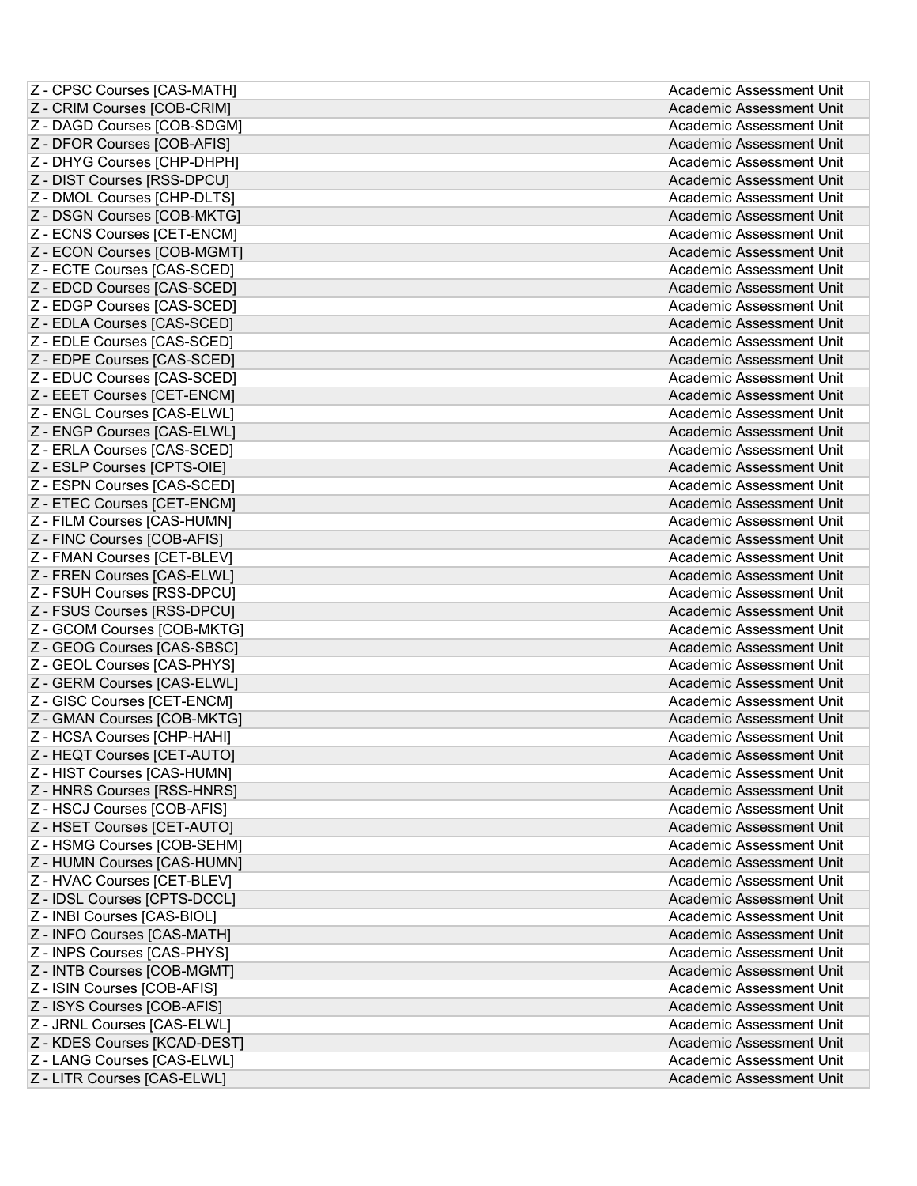| Z - CPSC Courses [CAS-MATH]                                 | Academic Assessment Unit                             |
|-------------------------------------------------------------|------------------------------------------------------|
| Z - CRIM Courses [COB-CRIM]                                 | Academic Assessment Unit                             |
| Z - DAGD Courses [COB-SDGM]                                 | Academic Assessment Unit                             |
| Z - DFOR Courses [COB-AFIS]                                 | Academic Assessment Unit                             |
| Z - DHYG Courses [CHP-DHPH]                                 | Academic Assessment Unit                             |
| Z - DIST Courses [RSS-DPCU]                                 | Academic Assessment Unit                             |
| Z - DMOL Courses [CHP-DLTS]                                 | Academic Assessment Unit                             |
| Z - DSGN Courses [COB-MKTG]                                 | Academic Assessment Unit                             |
| Z - ECNS Courses [CET-ENCM]                                 | Academic Assessment Unit                             |
| Z - ECON Courses [COB-MGMT]                                 | Academic Assessment Unit                             |
| Z - ECTE Courses [CAS-SCED]                                 | Academic Assessment Unit                             |
| Z - EDCD Courses [CAS-SCED]                                 | Academic Assessment Unit                             |
| Z - EDGP Courses [CAS-SCED]                                 | Academic Assessment Unit                             |
| Z - EDLA Courses [CAS-SCED]                                 | Academic Assessment Unit                             |
| Z - EDLE Courses [CAS-SCED]                                 | Academic Assessment Unit                             |
| Z - EDPE Courses [CAS-SCED]                                 | Academic Assessment Unit                             |
| Z - EDUC Courses [CAS-SCED]                                 | Academic Assessment Unit                             |
| Z - EEET Courses [CET-ENCM]                                 | Academic Assessment Unit                             |
| Z - ENGL Courses [CAS-ELWL]                                 | Academic Assessment Unit                             |
| Z - ENGP Courses [CAS-ELWL]                                 | Academic Assessment Unit                             |
| Z - ERLA Courses [CAS-SCED]                                 | Academic Assessment Unit                             |
| Z - ESLP Courses [CPTS-OIE]                                 | Academic Assessment Unit                             |
| Z - ESPN Courses [CAS-SCED]                                 | Academic Assessment Unit                             |
| Z - ETEC Courses [CET-ENCM]                                 | Academic Assessment Unit                             |
| Z - FILM Courses [CAS-HUMN]                                 | Academic Assessment Unit                             |
| Z - FINC Courses [COB-AFIS]                                 | Academic Assessment Unit                             |
| Z - FMAN Courses [CET-BLEV]                                 | Academic Assessment Unit                             |
| Z - FREN Courses [CAS-ELWL]                                 | Academic Assessment Unit                             |
|                                                             |                                                      |
|                                                             |                                                      |
| Z - FSUH Courses [RSS-DPCU]                                 | Academic Assessment Unit                             |
| Z - FSUS Courses [RSS-DPCU]                                 | Academic Assessment Unit                             |
| Z - GCOM Courses [COB-MKTG]                                 | Academic Assessment Unit                             |
| Z - GEOG Courses [CAS-SBSC]                                 | Academic Assessment Unit<br>Academic Assessment Unit |
| Z - GEOL Courses [CAS-PHYS]                                 |                                                      |
| Z - GERM Courses [CAS-ELWL]                                 | Academic Assessment Unit                             |
| Z - GISC Courses [CET-ENCM]                                 | Academic Assessment Unit                             |
| Z - GMAN Courses [COB-MKTG]                                 | Academic Assessment Unit                             |
| Z - HCSA Courses [CHP-HAHI]                                 | Academic Assessment Unit                             |
| Z - HEQT Courses [CET-AUTO]                                 | Academic Assessment Unit                             |
| Z - HIST Courses [CAS-HUMN]                                 | Academic Assessment Unit<br>Academic Assessment Unit |
| Z - HNRS Courses [RSS-HNRS]                                 | Academic Assessment Unit                             |
| Z - HSCJ Courses [COB-AFIS]                                 |                                                      |
| Z - HSET Courses [CET-AUTO]                                 | Academic Assessment Unit<br>Academic Assessment Unit |
| Z - HSMG Courses [COB-SEHM]                                 |                                                      |
| Z - HUMN Courses [CAS-HUMN]                                 | Academic Assessment Unit<br>Academic Assessment Unit |
| Z - HVAC Courses [CET-BLEV]                                 |                                                      |
| Z - IDSL Courses [CPTS-DCCL]                                | Academic Assessment Unit<br>Academic Assessment Unit |
| Z - INBI Courses [CAS-BIOL]                                 | Academic Assessment Unit                             |
| Z - INFO Courses [CAS-MATH]                                 | Academic Assessment Unit                             |
| Z - INPS Courses [CAS-PHYS]                                 | Academic Assessment Unit                             |
| Z - INTB Courses [COB-MGMT]                                 | Academic Assessment Unit                             |
| Z - ISIN Courses [COB-AFIS]                                 | Academic Assessment Unit                             |
| Z - ISYS Courses [COB-AFIS]                                 | Academic Assessment Unit                             |
| Z - JRNL Courses [CAS-ELWL]<br>Z - KDES Courses [KCAD-DEST] | Academic Assessment Unit                             |
| Z - LANG Courses [CAS-ELWL]                                 | Academic Assessment Unit                             |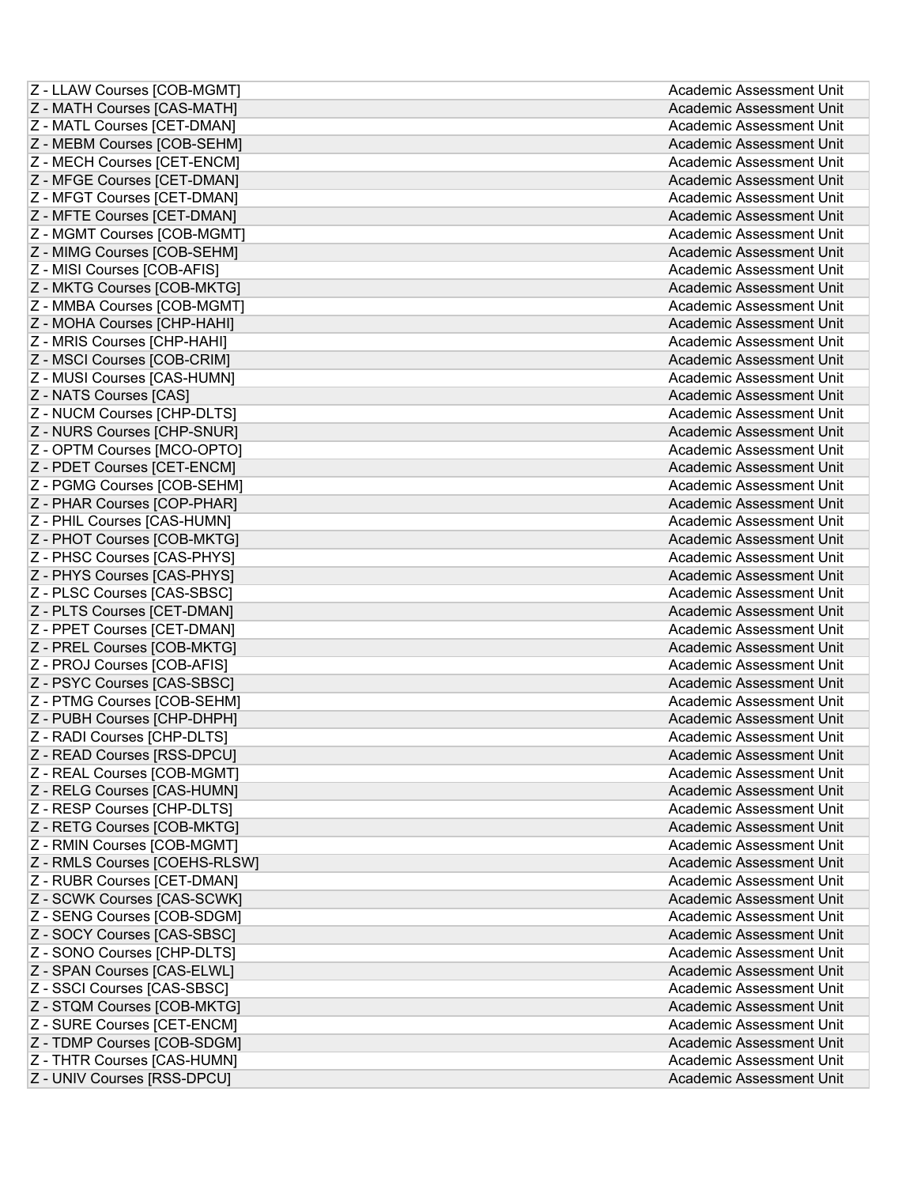| Z - LLAW Courses [COB-MGMT]   | Academic Assessment Unit |
|-------------------------------|--------------------------|
| Z - MATH Courses [CAS-MATH]   | Academic Assessment Unit |
| Z - MATL Courses [CET-DMAN]   | Academic Assessment Unit |
| Z - MEBM Courses [COB-SEHM]   | Academic Assessment Unit |
| Z - MECH Courses [CET-ENCM]   | Academic Assessment Unit |
| Z - MFGE Courses [CET-DMAN]   | Academic Assessment Unit |
| Z - MFGT Courses [CET-DMAN]   | Academic Assessment Unit |
| Z - MFTE Courses [CET-DMAN]   | Academic Assessment Unit |
| Z - MGMT Courses [COB-MGMT]   | Academic Assessment Unit |
| Z - MIMG Courses [COB-SEHM]   | Academic Assessment Unit |
| Z - MISI Courses [COB-AFIS]   | Academic Assessment Unit |
| Z - MKTG Courses [COB-MKTG]   | Academic Assessment Unit |
| Z - MMBA Courses [COB-MGMT]   | Academic Assessment Unit |
| Z - MOHA Courses [CHP-HAHI]   | Academic Assessment Unit |
| Z - MRIS Courses [CHP-HAHI]   | Academic Assessment Unit |
| Z - MSCI Courses [COB-CRIM]   | Academic Assessment Unit |
| Z - MUSI Courses [CAS-HUMN]   | Academic Assessment Unit |
| Z - NATS Courses [CAS]        | Academic Assessment Unit |
| Z - NUCM Courses [CHP-DLTS]   | Academic Assessment Unit |
| Z - NURS Courses [CHP-SNUR]   | Academic Assessment Unit |
| Z - OPTM Courses [MCO-OPTO]   | Academic Assessment Unit |
| Z - PDET Courses [CET-ENCM]   | Academic Assessment Unit |
| Z - PGMG Courses [COB-SEHM]   | Academic Assessment Unit |
| Z - PHAR Courses [COP-PHAR]   | Academic Assessment Unit |
| Z - PHIL Courses [CAS-HUMN]   | Academic Assessment Unit |
| Z - PHOT Courses [COB-MKTG]   | Academic Assessment Unit |
| Z - PHSC Courses [CAS-PHYS]   | Academic Assessment Unit |
| Z - PHYS Courses [CAS-PHYS]   | Academic Assessment Unit |
| Z - PLSC Courses [CAS-SBSC]   | Academic Assessment Unit |
| Z - PLTS Courses [CET-DMAN]   | Academic Assessment Unit |
| Z - PPET Courses [CET-DMAN]   | Academic Assessment Unit |
| Z - PREL Courses [COB-MKTG]   | Academic Assessment Unit |
| Z - PROJ Courses [COB-AFIS]   | Academic Assessment Unit |
| Z - PSYC Courses [CAS-SBSC]   | Academic Assessment Unit |
| Z - PTMG Courses [COB-SEHM]   | Academic Assessment Unit |
| Z - PUBH Courses [CHP-DHPH]   | Academic Assessment Unit |
| Z - RADI Courses [CHP-DLTS]   | Academic Assessment Unit |
| Z - READ Courses [RSS-DPCU]   | Academic Assessment Unit |
| Z - REAL Courses [COB-MGMT]   | Academic Assessment Unit |
| Z - RELG Courses [CAS-HUMN]   | Academic Assessment Unit |
| Z - RESP Courses [CHP-DLTS]   | Academic Assessment Unit |
| Z - RETG Courses [COB-MKTG]   | Academic Assessment Unit |
| Z - RMIN Courses [COB-MGMT]   | Academic Assessment Unit |
| Z - RMLS Courses [COEHS-RLSW] | Academic Assessment Unit |
| Z - RUBR Courses [CET-DMAN]   | Academic Assessment Unit |
| Z - SCWK Courses [CAS-SCWK]   | Academic Assessment Unit |
| Z - SENG Courses [COB-SDGM]   | Academic Assessment Unit |
| Z - SOCY Courses [CAS-SBSC]   | Academic Assessment Unit |
| Z - SONO Courses [CHP-DLTS]   | Academic Assessment Unit |
| Z - SPAN Courses [CAS-ELWL]   | Academic Assessment Unit |
| Z - SSCI Courses [CAS-SBSC]   | Academic Assessment Unit |
| Z - STQM Courses [COB-MKTG]   | Academic Assessment Unit |
| Z - SURE Courses [CET-ENCM]   | Academic Assessment Unit |
| Z - TDMP Courses [COB-SDGM]   | Academic Assessment Unit |
| Z - THTR Courses [CAS-HUMN]   | Academic Assessment Unit |
| Z - UNIV Courses [RSS-DPCU]   | Academic Assessment Unit |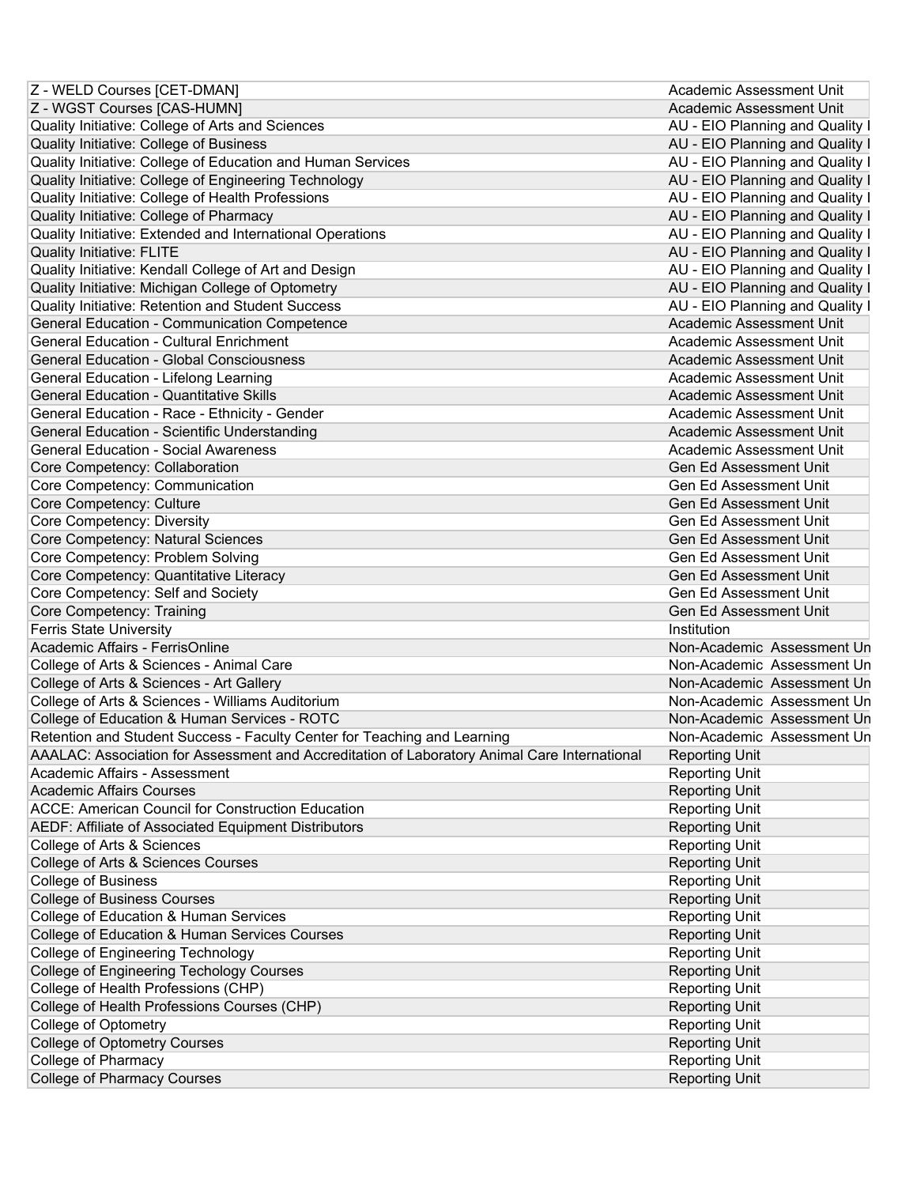| Z - WELD Courses [CET-DMAN]                                                                  | Academic Assessment Unit                                 |
|----------------------------------------------------------------------------------------------|----------------------------------------------------------|
| Z - WGST Courses [CAS-HUMN]                                                                  | Academic Assessment Unit                                 |
| Quality Initiative: College of Arts and Sciences                                             | AU - EIO Planning and Quality I                          |
| Quality Initiative: College of Business                                                      | AU - EIO Planning and Quality I                          |
| Quality Initiative: College of Education and Human Services                                  | AU - EIO Planning and Quality I                          |
| Quality Initiative: College of Engineering Technology                                        | AU - EIO Planning and Quality I                          |
| Quality Initiative: College of Health Professions                                            | AU - EIO Planning and Quality I                          |
| Quality Initiative: College of Pharmacy                                                      | AU - EIO Planning and Quality I                          |
| Quality Initiative: Extended and International Operations                                    | AU - EIO Planning and Quality I                          |
| <b>Quality Initiative: FLITE</b>                                                             | AU - EIO Planning and Quality I                          |
| Quality Initiative: Kendall College of Art and Design                                        | AU - EIO Planning and Quality I                          |
| Quality Initiative: Michigan College of Optometry                                            | AU - EIO Planning and Quality I                          |
| Quality Initiative: Retention and Student Success                                            | AU - EIO Planning and Quality I                          |
| <b>General Education - Communication Competence</b>                                          | Academic Assessment Unit                                 |
| <b>General Education - Cultural Enrichment</b>                                               | Academic Assessment Unit                                 |
| <b>General Education - Global Consciousness</b>                                              | Academic Assessment Unit                                 |
| General Education - Lifelong Learning                                                        | Academic Assessment Unit                                 |
| <b>General Education - Quantitative Skills</b>                                               | Academic Assessment Unit                                 |
| General Education - Race - Ethnicity - Gender                                                | Academic Assessment Unit                                 |
| General Education - Scientific Understanding                                                 | Academic Assessment Unit                                 |
| <b>General Education - Social Awareness</b>                                                  | Academic Assessment Unit                                 |
| Core Competency: Collaboration                                                               | Gen Ed Assessment Unit                                   |
| Core Competency: Communication                                                               | <b>Gen Ed Assessment Unit</b>                            |
|                                                                                              | <b>Gen Ed Assessment Unit</b>                            |
| Core Competency: Culture                                                                     | <b>Gen Ed Assessment Unit</b>                            |
| Core Competency: Diversity                                                                   | Gen Ed Assessment Unit                                   |
| Core Competency: Natural Sciences                                                            | Gen Ed Assessment Unit                                   |
| Core Competency: Problem Solving                                                             | Gen Ed Assessment Unit                                   |
| Core Competency: Quantitative Literacy                                                       |                                                          |
| Core Competency: Self and Society                                                            | Gen Ed Assessment Unit                                   |
| Core Competency: Training                                                                    | Gen Ed Assessment Unit                                   |
| <b>Ferris State University</b>                                                               | Institution                                              |
| Academic Affairs - FerrisOnline                                                              | Non-Academic Assessment Un<br>Non-Academic Assessment Un |
| College of Arts & Sciences - Animal Care                                                     |                                                          |
| College of Arts & Sciences - Art Gallery                                                     | Non-Academic Assessment Un                               |
| College of Arts & Sciences - Williams Auditorium                                             | Non-Academic Assessment Un                               |
| College of Education & Human Services - ROTC                                                 | Non-Academic Assessment Un                               |
| Retention and Student Success - Faculty Center for Teaching and Learning                     | Non-Academic Assessment Un                               |
| AAALAC: Association for Assessment and Accreditation of Laboratory Animal Care International | <b>Reporting Unit</b>                                    |
| Academic Affairs - Assessment                                                                | <b>Reporting Unit</b>                                    |
| <b>Academic Affairs Courses</b>                                                              | <b>Reporting Unit</b>                                    |
| <b>ACCE: American Council for Construction Education</b>                                     | <b>Reporting Unit</b>                                    |
| AEDF: Affiliate of Associated Equipment Distributors                                         | <b>Reporting Unit</b>                                    |
| College of Arts & Sciences                                                                   | <b>Reporting Unit</b>                                    |
| College of Arts & Sciences Courses                                                           | <b>Reporting Unit</b>                                    |
| <b>College of Business</b>                                                                   | <b>Reporting Unit</b>                                    |
| <b>College of Business Courses</b>                                                           | <b>Reporting Unit</b>                                    |
| College of Education & Human Services                                                        | <b>Reporting Unit</b>                                    |
| College of Education & Human Services Courses                                                | <b>Reporting Unit</b>                                    |
| <b>College of Engineering Technology</b>                                                     | <b>Reporting Unit</b>                                    |
| College of Engineering Techology Courses                                                     | <b>Reporting Unit</b>                                    |
| College of Health Professions (CHP)                                                          | <b>Reporting Unit</b>                                    |
| College of Health Professions Courses (CHP)                                                  |                                                          |
|                                                                                              | <b>Reporting Unit</b>                                    |
| <b>College of Optometry</b>                                                                  | <b>Reporting Unit</b>                                    |
| <b>College of Optometry Courses</b>                                                          | <b>Reporting Unit</b>                                    |
| College of Pharmacy<br><b>College of Pharmacy Courses</b>                                    | <b>Reporting Unit</b><br><b>Reporting Unit</b>           |